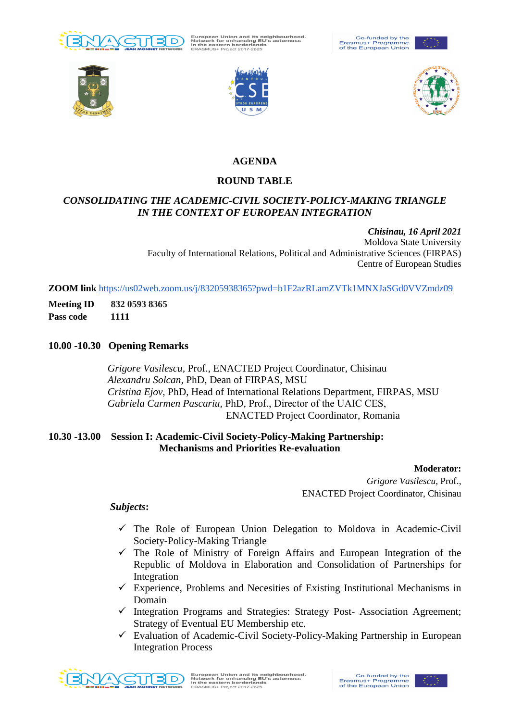

European Union and its neighbourhood.<br>Network for enhancing EU's actorness<br>in the eastern borderlands<br>ERASMUS+ Project 2017-2625











# **AGENDA**

## **ROUND TABLE**

## *CONSOLIDATING THE ACADEMIC-CIVIL SOCIETY-POLICY-MAKING TRIANGLE IN THE CONTEXT OF EUROPEAN INTEGRATION*

*Chisinau, 16 April 2021* Moldova State University Faculty of International Relations, Political and Administrative Sciences (FIRPAS) Centre of European Studies

**ZOOM link** <https://us02web.zoom.us/j/83205938365?pwd=b1F2azRLamZVTk1MNXJaSGd0VVZmdz09>

**Meeting ID 832 0593 8365**

**Pass code 1111**

### **10.00 -10.30 Opening Remarks**

 *Grigore Vasilescu,* Prof., ENACTED Project Coordinator, Chisinau  *Alexandru Solcan,* PhD, Dean of FIRPAS, MSU  *Cristina Ejov,* PhD, Head of International Relations Department, FIRPAS, MSU  *Gabriela Carmen Pascariu,* PhD, Prof., Director of the UAIС CES, ENACTED Project Coordinator, Romania

### **10.30 -13.00 Session I: Academic-Civil Society-Policy-Making Partnership: Mechanisms and Priorities Re-evaluation**

#### **Moderator:**

*Grigore Vasilescu,* Prof., ENACTED Project Coordinator, Chisinau

#### *Subjects***:**

- $\checkmark$  The Role of European Union Delegation to Moldova in Academic-Civil Society-Policy-Making Triangle
- $\checkmark$  The Role of Ministry of Foreign Affairs and European Integration of the Republic of Moldova in Elaboration and Consolidation of Partnerships for Integration
- $\checkmark$  Experience, Problems and Necesities of Existing Institutional Mechanisms in Domain
- $\checkmark$  Integration Programs and Strategies: Strategy Post-Association Agreement; Strategy of Eventual EU Membership etc.
- $\checkmark$  Evaluation of Academic-Civil Society-Policy-Making Partnership in European Integration Process



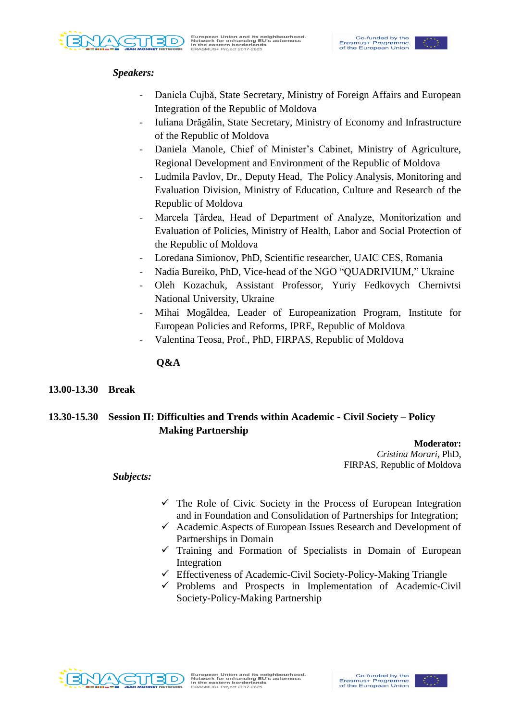

## *Speakers:*

- Daniela Cujbă, State Secretary, Ministry of Foreign Affairs and European Integration of the Republic of Moldova
- Iuliana Drăgălin, State Secretary, Ministry of Economy and Infrastructure of the Republic of Moldova
- Daniela Manole, Chief of Minister's Cabinet, Ministry of Agriculture, Regional Development and Environment of the Republic of Moldova
- Ludmila Pavlov, Dr., Deputy Head, The Policy Analysis, Monitoring and Evaluation Division, Ministry of Education, Culture and Research of the Republic of Moldova
- Marcela Țârdea, Head of Department of Analyze, Monitorization and Evaluation of Policies, [Ministry of Health, Labor](http://www.msmps.gov.md/) and Social Protection of the Republic of Moldova
- Loredana Simionov, PhD, Scientific researcher, UAIС CES, Romania
- Nadia Bureiko, PhD, Vice-head of the NGO "QUADRIVIUM," Ukraine
- Oleh Kozachuk, Assistant Professor, Yuriy Fedkovych Chernivtsi National University, Ukraine
- Mihai Mogâldea, Leader of Europeanization Program, Institute for European Policies and Reforms, IPRE, Republic of Moldova
- Valentina Teosa, Prof., PhD, FIRPAS, Republic of Moldova

 **Q&A**

**13.00-13.30 Break**

# **13.30-15.30 Session II: Difficulties and Trends within Academic - Civil Society – Policy Making Partnership**

**Moderator:**

*Cristina Morari,* PhD, FIRPAS, Republic of Moldova

### *Subjects:*

- $\checkmark$  The Role of Civic Society in the Process of European Integration and in Foundation and Consolidation of Partnerships for Integration;
- $\checkmark$  Academic Aspects of European Issues Research and Development of Partnerships in Domain
- $\checkmark$  Training and Formation of Specialists in Domain of European Integration
- $\checkmark$  Effectiveness of Academic-Civil Society-Policy-Making Triangle
- $\checkmark$  Problems and Prospects in Implementation of Academic-Civil Society-Policy-Making Partnership